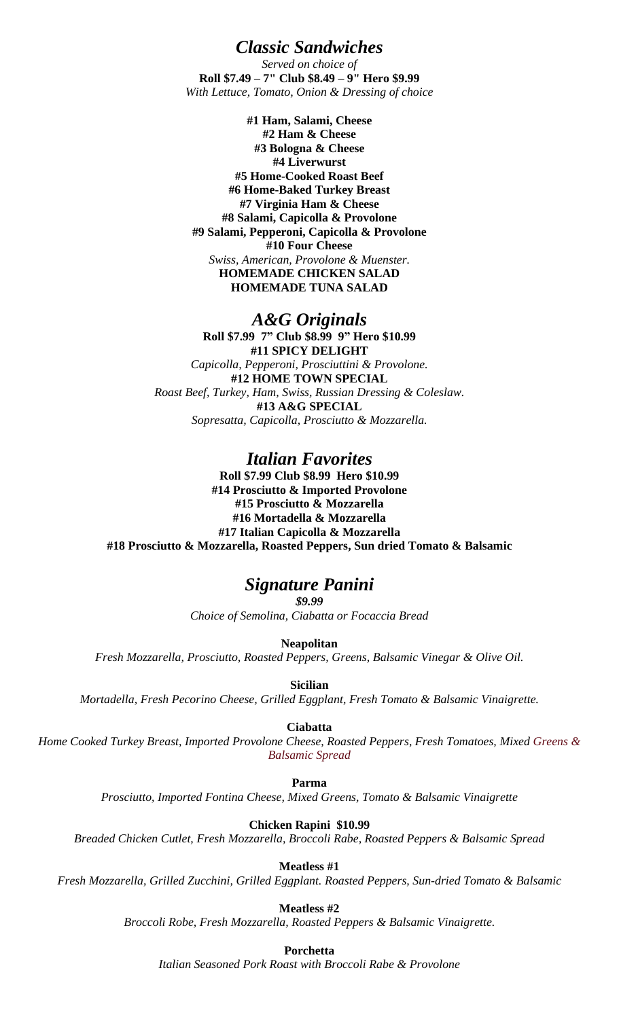*Classic Sandwiches*

*Served on choice of* **Roll \$7.49 – 7" Club \$8.49 – 9" Hero \$9.99** *With Lettuce, Tomato, Onion & Dressing of choice*

**#1 Ham, Salami, Cheese #2 Ham & Cheese #3 Bologna & Cheese #4 Liverwurst #5 Home-Cooked Roast Beef #6 Home-Baked Turkey Breast #7 Virginia Ham & Cheese #8 Salami, Capicolla & Provolone #9 Salami, Pepperoni, Capicolla & Provolone #10 Four Cheese** *Swiss, American, Provolone & Muenster.* **HOMEMADE CHICKEN SALAD HOMEMADE TUNA SALAD**

#### *A&G Originals*

**Roll \$7.99 7" Club \$8.99 9" Hero \$10.99 #11 SPICY DELIGHT** *Capicolla, Pepperoni, Prosciuttini & Provolone.* **#12 HOME TOWN SPECIAL** *Roast Beef, Turkey, Ham, Swiss, Russian Dressing & Coleslaw.* **#13 A&G SPECIAL** *Sopresatta, Capicolla, Prosciutto & Mozzarella.*

# *Italian Favorites*

**Roll \$7.99 Club \$8.99 Hero \$10.99 #14 Prosciutto & Imported Provolone #15 Prosciutto & Mozzarella #16 Mortadella & Mozzarella #17 Italian Capicolla & Mozzarella #18 Prosciutto & Mozzarella, Roasted Peppers, Sun dried Tomato & Balsamic**

### *Signature Panini*

*\$9.99 Choice of Semolina, Ciabatta or Focaccia Bread*

**Neapolitan** *Fresh Mozzarella, Prosciutto, Roasted Peppers, Greens, Balsamic Vinegar & Olive Oil.*

**Sicilian**

*Mortadella, Fresh Pecorino Cheese, Grilled Eggplant, Fresh Tomato & Balsamic Vinaigrette.*

**Ciabatta**

*Home Cooked Turkey Breast, Imported Provolone Cheese, Roasted Peppers, Fresh Tomatoes, Mixed Greens & Balsamic Spread*

**Parma**

*Prosciutto, Imported Fontina Cheese, Mixed Greens, Tomato & Balsamic Vinaigrette*

**Chicken Rapini \$10.99**

*Breaded Chicken Cutlet, Fresh Mozzarella, Broccoli Rabe, Roasted Peppers & Balsamic Spread*

**Meatless #1**

*Fresh Mozzarella, Grilled Zucchini, Grilled Eggplant. Roasted Peppers, Sun-dried Tomato & Balsamic*

**Meatless #2**

*Broccoli Robe, Fresh Mozzarella, Roasted Peppers & Balsamic Vinaigrette.*

**Porchetta**

*Italian Seasoned Pork Roast with Broccoli Rabe & Provolone*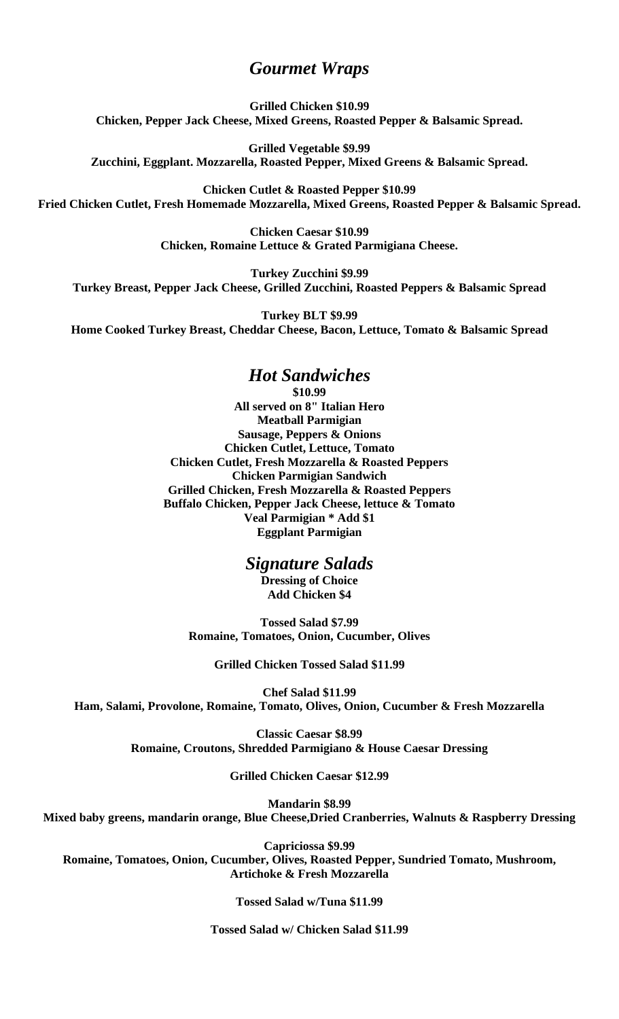# *Gourmet Wraps*

**Grilled Chicken \$10.99 Chicken, Pepper Jack Cheese, Mixed Greens, Roasted Pepper & Balsamic Spread.**

**Grilled Vegetable \$9.99 Zucchini, Eggplant. Mozzarella, Roasted Pepper, Mixed Greens & Balsamic Spread.**

**Chicken Cutlet & Roasted Pepper \$10.99 Fried Chicken Cutlet, Fresh Homemade Mozzarella, Mixed Greens, Roasted Pepper & Balsamic Spread.**

> **Chicken Caesar \$10.99 Chicken, Romaine Lettuce & Grated Parmigiana Cheese.**

**Turkey Zucchini \$9.99 Turkey Breast, Pepper Jack Cheese, Grilled Zucchini, Roasted Peppers & Balsamic Spread**

**Turkey BLT \$9.99 Home Cooked Turkey Breast, Cheddar Cheese, Bacon, Lettuce, Tomato & Balsamic Spread**

### *Hot Sandwiches*

**\$10.99 All served on 8" Italian Hero Meatball Parmigian Sausage, Peppers & Onions Chicken Cutlet, Lettuce, Tomato Chicken Cutlet, Fresh Mozzarella & Roasted Peppers Chicken Parmigian Sandwich Grilled Chicken, Fresh Mozzarella & Roasted Peppers Buffalo Chicken, Pepper Jack Cheese, lettuce & Tomato Veal Parmigian \* Add \$1 Eggplant Parmigian**

#### *Signature Salads*

**Dressing of Choice Add Chicken \$4**

**Tossed Salad \$7.99 Romaine, Tomatoes, Onion, Cucumber, Olives**

**Grilled Chicken Tossed Salad \$11.99**

**Chef Salad \$11.99 Ham, Salami, Provolone, Romaine, Tomato, Olives, Onion, Cucumber & Fresh Mozzarella**

> **Classic Caesar \$8.99 Romaine, Croutons, Shredded Parmigiano & House Caesar Dressing**

> > **Grilled Chicken Caesar \$12.99**

**Mandarin \$8.99 Mixed baby greens, mandarin orange, Blue Cheese,Dried Cranberries, Walnuts & Raspberry Dressing**

**Capriciossa \$9.99 Romaine, Tomatoes, Onion, Cucumber, Olives, Roasted Pepper, Sundried Tomato, Mushroom, Artichoke & Fresh Mozzarella**

**Tossed Salad w/Tuna \$11.99**

**Tossed Salad w/ Chicken Salad \$11.99**